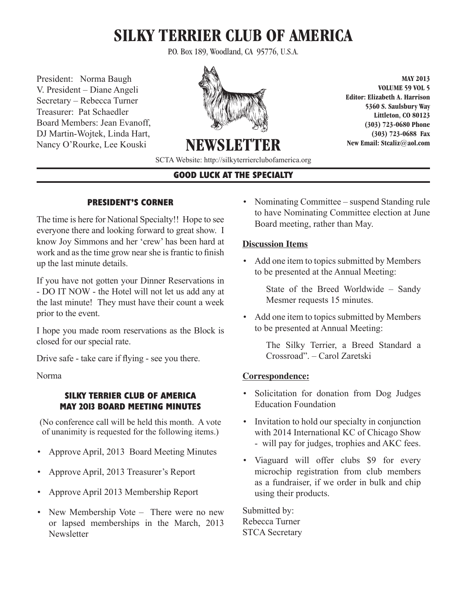# **SILKY TERRIER CLUB OF AMERICA**

P.O. Box 189, Woodland, CA 95776, U.S.A.

President: Norma Baugh V. President – Diane Angeli Secretary – Rebecca Turner Treasurer: Pat Schaedler Board Members: Jean Evanoff, DJ Martin-Wojtek, Linda Hart, Nancy O'Rourke, Lee Kouski



**MAY 2013 VOLUME 59 VOL 5 Editor: Elizabeth A. Harrison 5360 S. Saulsbury Way Littleton, CO 80123 (303) 723-0680 Phone (303) 723-0688 Fax New Email: Stcaliz@aol.com** 

SCTA Website: http://silkyterrierclubofamerica.org

**NEWSLET** 

# **GOOD LUCK AT THE SPECIALTY**

## **PRESIDENT'S CORNER**

The time is here for National Specialty!! Hope to see everyone there and looking forward to great show. I know Joy Simmons and her 'crew' has been hard at work and as the time grow near she is frantic to finish up the last minute details.

If you have not gotten your Dinner Reservations in - DO IT NOW - the Hotel will not let us add any at the last minute! They must have their count a week prior to the event.

I hope you made room reservations as the Block is closed for our special rate.

Drive safe - take care if flying - see you there.

Norma

## **SILKY TERRIER CLUB OF AMERICA MAY 2013 BOARD MEETING MINUTES**

(No conference call will be held this month. A vote of unanimity is requested for the following items.)

- Approve April, 2013 Board Meeting Minutes
- Approve April, 2013 Treasurer's Report
- Approve April 2013 Membership Report
- New Membership Vote There were no new or lapsed memberships in the March, 2013 **Newsletter**

• Nominating Committee – suspend Standing rule to have Nominating Committee election at June Board meeting, rather than May.

# **Discussion Items**

• Add one item to topics submitted by Members to be presented at the Annual Meeting:

> State of the Breed Worldwide – Sandy Mesmer requests 15 minutes.

• Add one item to topics submitted by Members to be presented at Annual Meeting:

> The Silky Terrier, a Breed Standard a Crossroad". – Carol Zaretski

# **Correspondence:**

- Solicitation for donation from Dog Judges Education Foundation
- Invitation to hold our specialty in conjunction with 2014 International KC of Chicago Show - will pay for judges, trophies and AKC fees.
- Viaguard will offer clubs \$9 for every microchip registration from club members as a fundraiser, if we order in bulk and chip using their products.

Submitted by: Rebecca Turner STCA Secretary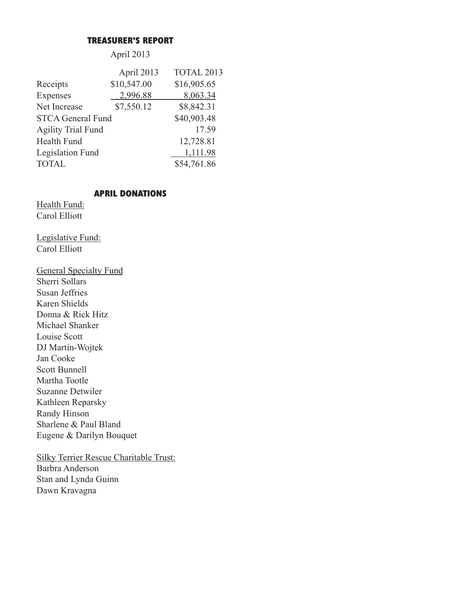#### **TREASURER'S REPORT**

# April 2013

|                           | April 2013  | TOTAL 2013  |
|---------------------------|-------------|-------------|
| Receipts                  | \$10,547.00 | \$16,905.65 |
| Expenses                  | 2,996.88    | 8,063.34    |
| Net Increase              | \$7,550.12  | \$8,842.31  |
| <b>STCA General Fund</b>  |             | \$40,903.48 |
| <b>Agility Trial Fund</b> |             | 17.59       |
| <b>Health Fund</b>        |             | 12,728.81   |
| Legislation Fund          |             | 1,111.98    |
| <b>TOTAL</b>              |             | \$54,761.86 |

# **APRIL DONATIONS**

Health Fund: Carol Elliott

Legislative Fund: Carol Elliott

General Specialty Fund Sherri Sollars Susan Jeffries Karen Shields Donna & Rick Hitz Michael Shanker Louise Scott DJ Martin-Wojtek Jan Cooke Scott Bunnell Martha Tootle Suzanne Detwiler Kathleen Reparsky Randy Hinson Sharlene & Paul Bland Eugene & Darilyn Bouquet

Silky Terrier Rescue Charitable Trust: Barbra Anderson Stan and Lynda Guinn Dawn Kravagna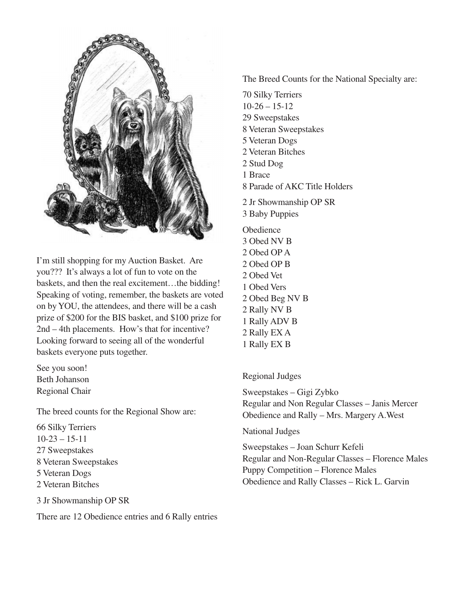

I'm still shopping for my Auction Basket. Are you??? It's always a lot of fun to vote on the baskets, and then the real excitement…the bidding! Speaking of voting, remember, the baskets are voted on by YOU, the attendees, and there will be a cash prize of \$200 for the BIS basket, and \$100 prize for 2nd – 4th placements. How's that for incentive? Looking forward to seeing all of the wonderful baskets everyone puts together.

See you soon! Beth Johanson Regional Chair

The breed counts for the Regional Show are:

66 Silky Terriers 10-23 – 15-11 27 Sweepstakes 8 Veteran Sweepstakes 5 Veteran Dogs 2 Veteran Bitches

3 Jr Showmanship OP SR

There are 12 Obedience entries and 6 Rally entries

The Breed Counts for the National Specialty are:

70 Silky Terriers  $10-26 - 15-12$ 29 Sweepstakes 8 Veteran Sweepstakes 5 Veteran Dogs 2 Veteran Bitches 2 Stud Dog 1 Brace 8 Parade of AKC Title Holders 2 Jr Showmanship OP SR 3 Baby Puppies **Obedience** 3 Obed NV B 2 Obed OP A 2 Obed OP B 2 Obed Vet 1 Obed Vers 2 Obed Beg NV B 2 Rally NV B 1 Rally ADV B 2 Rally EX A 1 Rally EX B

## Regional Judges

Sweepstakes – Gigi Zybko Regular and Non Regular Classes – Janis Mercer Obedience and Rally – Mrs. Margery A.West

## National Judges

Sweepstakes – Joan Schurr Kefeli Regular and Non-Regular Classes – Florence Males Puppy Competition – Florence Males Obedience and Rally Classes – Rick L. Garvin